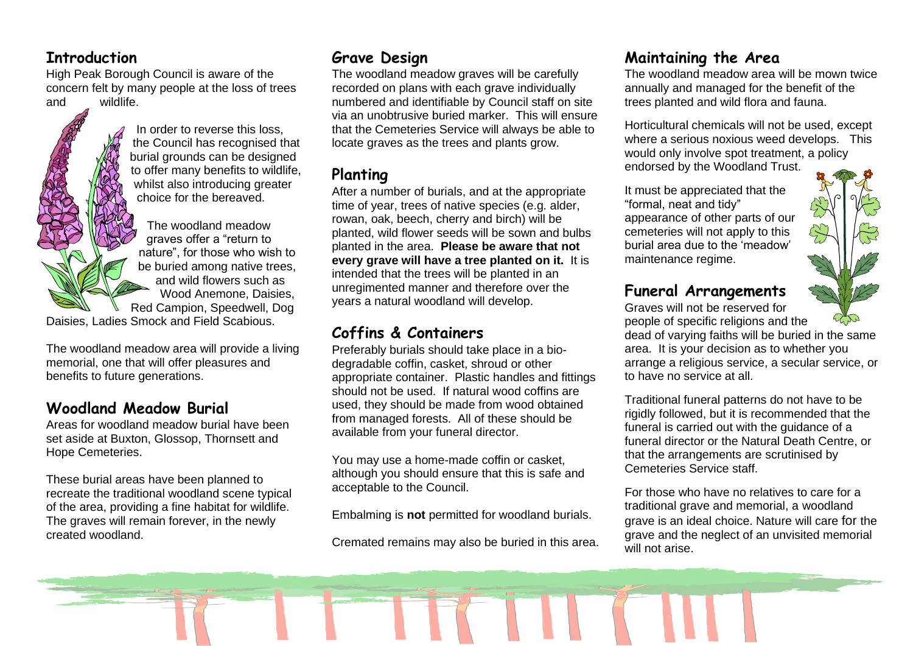#### **Introduction**

High Peak Borough Council is aware of the concern felt by many people at the loss of trees and wildlife.

> In order to reverse this loss, the Council has recognised that burial grounds can be designed to offer many benefits to wildlife, whilst also introducing greater choice for the bereaved.

The woodland meadow graves offer a "return to nature", for those who wish to be buried among native trees, and wild flowers such as Wood Anemone, Daisies, Red Campion, Speedwell, Dog

Daisies, Ladies Smock and Field Scabious.

The woodland meadow area will provide a living memorial, one that will offer pleasures and benefits to future generations.

## **Woodland Meadow Burial**

Areas for woodland meadow burial have been set aside at Buxton, Glossop, Thornsett and Hope Cemeteries.

These burial areas have been planned to recreate the traditional woodland scene typical of the area, providing a fine habitat for wildlife. The graves will remain forever, in the newly created woodland.

## **Grave Design**

The woodland meadow graves will be carefully recorded on plans with each grave individually numbered and identifiable by Council staff on site via an unobtrusive buried marker. This will ensure that the Cemeteries Service will always be able to locate graves as the trees and plants grow.

## **Planting**

After a number of burials, and at the appropriate time of year, trees of native species (e.g. alder, rowan, oak, beech, cherry and birch) will be planted, wild flower seeds will be sown and bulbs planted in the area. **Please be aware that not every grave will have a tree planted on it.** It is intended that the trees will be planted in an unregimented manner and therefore over the years a natural woodland will develop.

## **Coffins & Containers**

Preferably burials should take place in a biodegradable coffin, casket, shroud or other appropriate container. Plastic handles and fittings should not be used. If natural wood coffins are used, they should be made from wood obtained from managed forests. All of these should be available from your funeral director.

You may use a home-made coffin or casket, although you should ensure that this is safe and acceptable to the Council.

Embalming is **not** permitted for woodland burials.

Cremated remains may also be buried in this area.

## **Maintaining the Area**

The woodland meadow area will be mown twice annually and managed for the benefit of the trees planted and wild flora and fauna.

Horticultural chemicals will not be used, except where a serious noxious weed develops. This would only involve spot treatment, a policy endorsed by the Woodland Trust.

It must be appreciated that the "formal, neat and tidy" appearance of other parts of our cemeteries will not apply to this burial area due to the 'meadow' maintenance regime.



## **Funeral Arrangements**

Graves will not be reserved for

people of specific religions and the dead of varying faiths will be buried in the same area. It is your decision as to whether you arrange a religious service, a secular service, or to have no service at all.

Traditional funeral patterns do not have to be rigidly followed, but it is recommended that the funeral is carried out with the guidance of a funeral director or the Natural Death Centre, or that the arrangements are scrutinised by Cemeteries Service staff.

For those who have no relatives to care for a traditional grave and memorial, a woodland grave is an ideal choice. Nature will care for the grave and the neglect of an unvisited memorial will not arise.